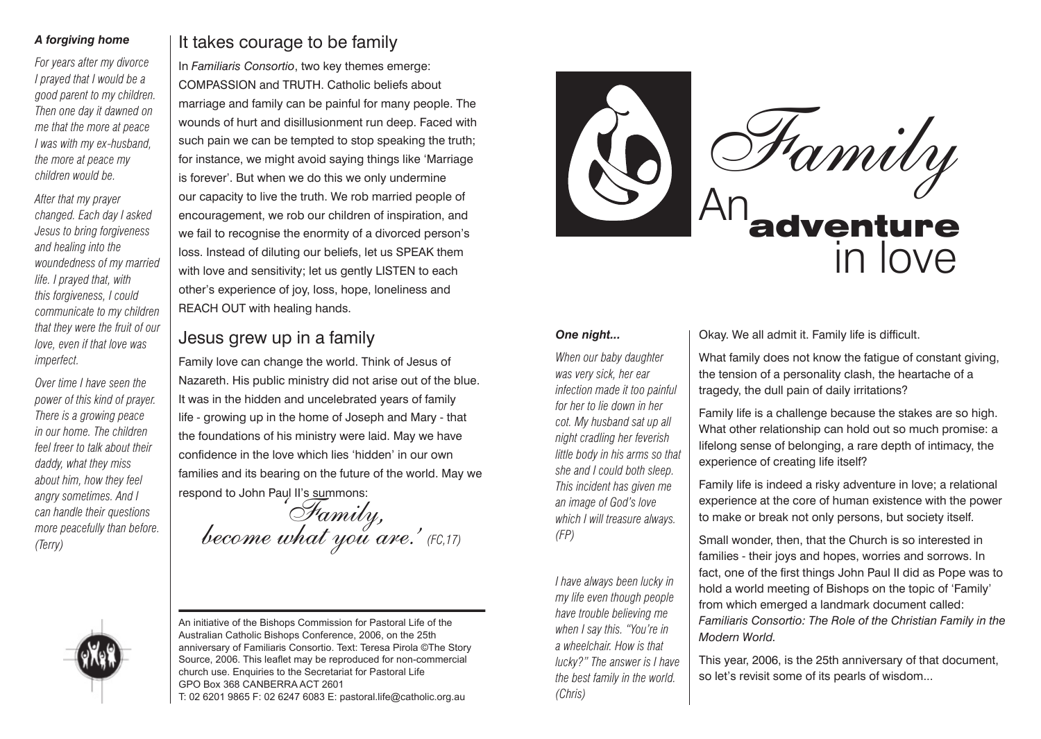#### *A forgiving home*

*For years after my divorce I prayed that I would be a good parent to my children. Then one day it dawned on me that the more at peace I was with my ex-husband, the more at peace my children would be.*

*After that my prayer changed. Each day I asked Jesus to bring forgiveness and healing into the woundedness of my married life. I prayed that, with this forgiveness, I could communicate to my children that they were the fruit of our love, even if that love was imperfect.* 

*Over time I have seen the power of this kind of prayer. There is a growing peace in our home. The children feel freer to talk about their daddy, what they miss about him, how they feel angry sometimes. And I can handle their questions more peacefully than before. (Terry)*



# It takes courage to be family

In *Familiaris Consortio*, two key themes emerge: COMPASSION and TRUTH. Catholic beliefs about marriage and family can be painful for many people. The wounds of hurt and disillusionment run deep. Faced with such pain we can be tempted to stop speaking the truth; for instance, we might avoid saying things like 'Marriage is forever'. But when we do this we only undermine our capacity to live the truth. We rob married people of encouragement, we rob our children of inspiration, and we fail to recognise the enormity of a divorced person's loss. Instead of diluting our beliefs, let us SPEAK them with love and sensitivity; let us gently LISTEN to each other's experience of joy, loss, hope, loneliness and REACH OUT with healing hands.

## Jesus grew up in a family

Family love can change the world. Think of Jesus of Nazareth. His public ministry did not arise out of the blue. It was in the hidden and uncelebrated years of family life - growing up in the home of Joseph and Mary - that the foundations of his ministry were laid. May we have confidence in the love which lies 'hidden' in our own families and its bearing on the future of the world. May we respond to John Paul II's summons:

'Family, become what you are.' *(FC,17)*

An initiative of the Bishops Commission for Pastoral Life of the Australian Catholic Bishops Conference, 2006, on the 25th anniversary of Familiaris Consortio. Text: Teresa Pirola ©The Story Source, 2006. This leaflet may be reproduced for non-commercial church use. Enquiries to the Secretariat for Pastoral Life GPO Box 368 CANBERRA ACT 2601 T: 02 6201 9865 F: 02 6247 6083 E: pastoral.life@catholic.org.au



### *One night...*

*When our baby daughter was very sick, her ear infection made it too painful for her to lie down in her cot. My husband sat up all night cradling her feverish little body in his arms so that she and I could both sleep. This incident has given me an image of God's love which I will treasure always. (FP)*

*I have always been lucky in my life even though people have trouble believing me when I say this. "You're in a wheelchair. How is that lucky?" The answer is I have the best family in the world. (Chris)*

#### Okay. We all admit it. Family life is difficult.

What family does not know the fatigue of constant giving, the tension of a personality clash, the heartache of a tragedy, the dull pain of daily irritations?

Family life is a challenge because the stakes are so high. What other relationship can hold out so much promise: a lifelong sense of belonging, a rare depth of intimacy, the experience of creating life itself?

Family life is indeed a risky adventure in love; a relational experience at the core of human existence with the power to make or break not only persons, but society itself.

Small wonder, then, that the Church is so interested in families - their joys and hopes, worries and sorrows. In fact, one of the first things John Paul II did as Pope was to hold a world meeting of Bishops on the topic of 'Family' from which emerged a landmark document called: *Familiaris Consortio: The Role of the Christian Family in the Modern World.*

This year, 2006, is the 25th anniversary of that document, so let's revisit some of its pearls of wisdom...